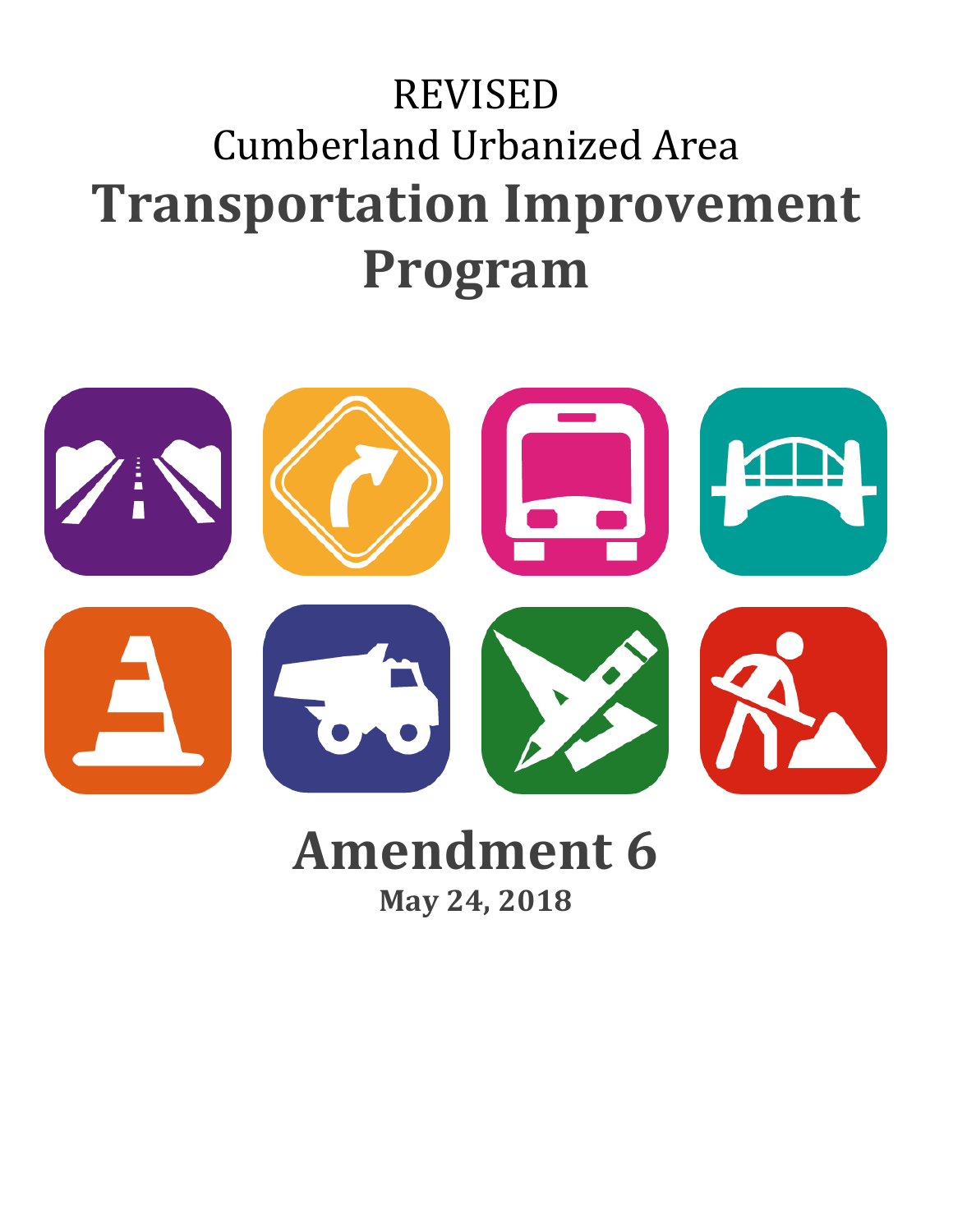## REVISED Cumberland Urbanized Area **Transportation Improvement Program**



# **Amendment 6**

**May 24, 2018**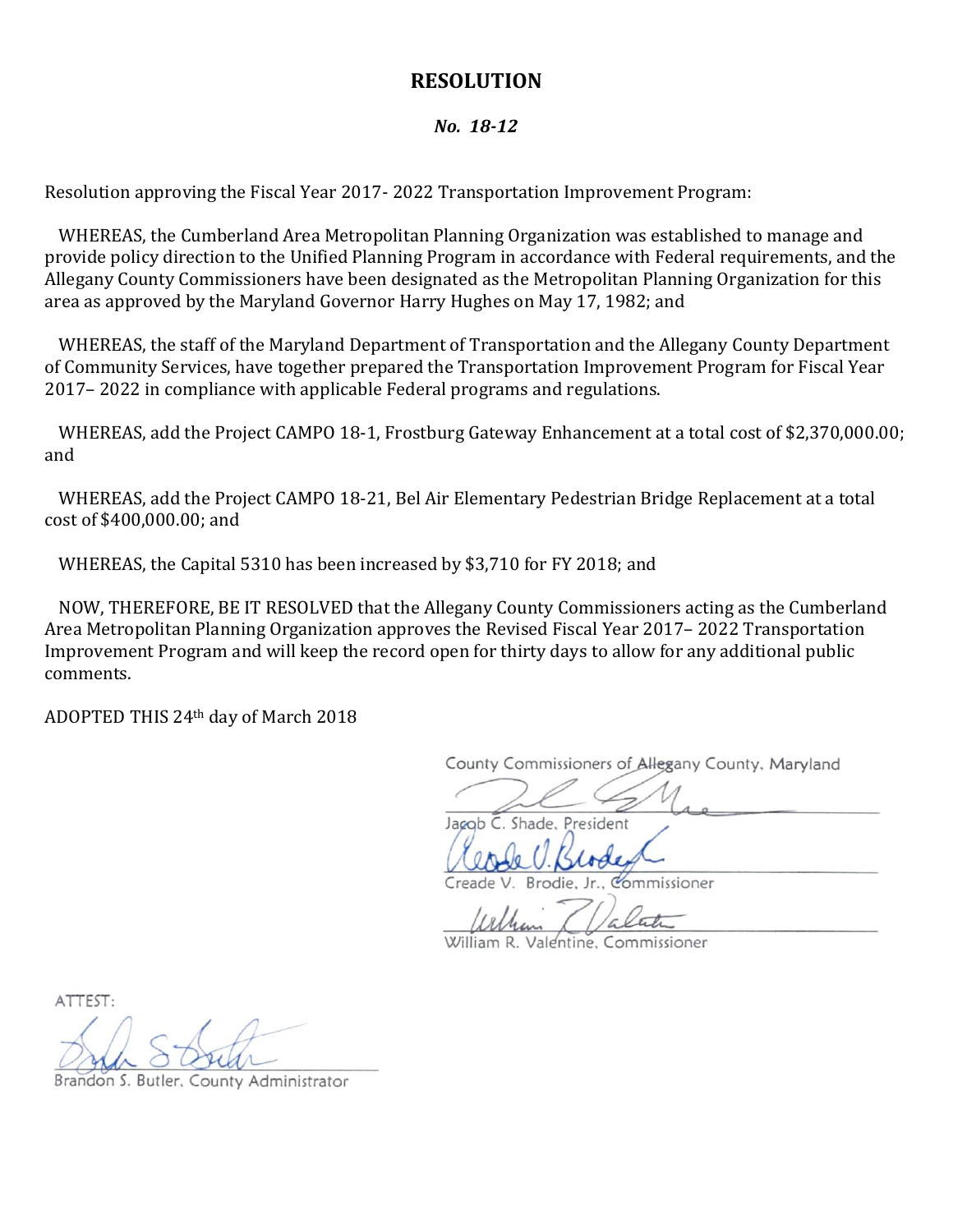#### **RESOLUTION**

#### *No. 18-12*

Resolution approving the Fiscal Year 2017- 2022 Transportation Improvement Program:

WHEREAS, the Cumberland Area Metropolitan Planning Organization was established to manage and provide policy direction to the Unified Planning Program in accordance with Federal requirements, and the Allegany County Commissioners have been designated as the Metropolitan Planning Organization for this area as approved by the Maryland Governor Harry Hughes on May 17, 1982; and

WHEREAS, the staff of the Maryland Department of Transportation and the Allegany County Department of Community Services, have together prepared the Transportation Improvement Program for Fiscal Year 2017– 2022 in compliance with applicable Federal programs and regulations.

WHEREAS, add the Project CAMPO 18-1, Frostburg Gateway Enhancement at a total cost of \$2,370,000.00; and

WHEREAS, add the Project CAMPO 18-21, Bel Air Elementary Pedestrian Bridge Replacement at a total cost of \$400,000.00; and

WHEREAS, the Capital 5310 has been increased by \$3,710 for FY 2018; and

NOW, THEREFORE, BE IT RESOLVED that the Allegany County Commissioners acting as the Cumberland Area Metropolitan Planning Organization approves the Revised Fiscal Year 2017– 2022 Transportation Improvement Program and will keep the record open for thirty days to allow for any additional public comments.

ADOPTED THIS 24th day of March 2018

County Commissioners of Allegany County, Maryland

 $\mu$ 

Jacob C. Shade, President

Creade V. Brodie, Jr., Commissioner Creade V. Brodie, Jr., Commissioner

William R. Valentine, Commissioner

ATTEST:

 $\overline{1}$  $\sqrt{2\pi}$ 

Brandon S. Butler, County Administrator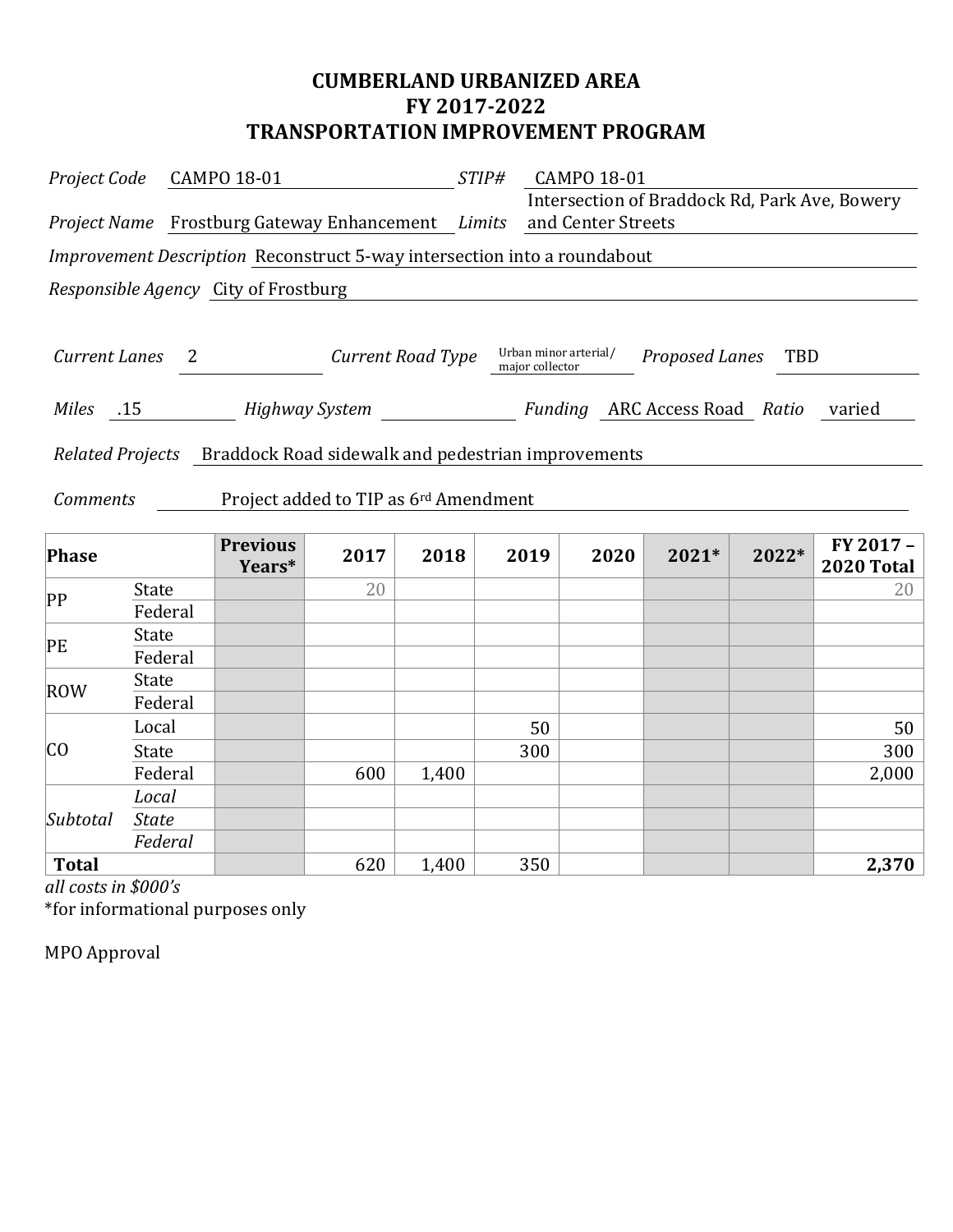## **CUMBERLAND URBANIZED AREA FY 2017-2022 TRANSPORTATION IMPROVEMENT PROGRAM**

|                      | Project Code CAMPO 18-01 |                                                                          | $STIP\#$          |       |                 | CAMPO 18-01                                   |                    |       |                                |
|----------------------|--------------------------|--------------------------------------------------------------------------|-------------------|-------|-----------------|-----------------------------------------------|--------------------|-------|--------------------------------|
|                      |                          | Project Name Frostburg Gateway Enhancement Limits and Center Streets     |                   |       |                 | Intersection of Braddock Rd, Park Ave, Bowery |                    |       |                                |
|                      |                          | Improvement Description Reconstruct 5-way intersection into a roundabout |                   |       |                 |                                               |                    |       |                                |
|                      |                          | Responsible Agency City of Frostburg                                     |                   |       |                 |                                               |                    |       |                                |
|                      |                          |                                                                          |                   |       |                 |                                               |                    |       |                                |
| <b>Current Lanes</b> |                          | $\overline{2}$                                                           | Current Road Type |       | major collector | Urban minor arterial/                         | Proposed Lanes TBD |       |                                |
|                      |                          | Miles 15 Highway System Funding ARC Access Road Ratio varied             |                   |       |                 |                                               |                    |       |                                |
|                      |                          | Related Projects Braddock Road sidewalk and pedestrian improvements      |                   |       |                 |                                               |                    |       |                                |
| <b>Comments</b>      |                          | Project added to TIP as 6 <sup>rd</sup> Amendment                        |                   |       |                 |                                               |                    |       |                                |
| Phase                |                          | <b>Previous</b><br>Years*                                                | 2017              | 2018  | 2019            | 2020                                          | 2021*              | 2022* | FY 2017 -<br><b>2020 Total</b> |
| PP                   | <b>State</b>             |                                                                          | 20                |       |                 |                                               |                    |       | 20                             |
|                      | Federal                  |                                                                          |                   |       |                 |                                               |                    |       |                                |
| PE                   | State<br>Federal         |                                                                          |                   |       |                 |                                               |                    |       |                                |
|                      | State                    |                                                                          |                   |       |                 |                                               |                    |       |                                |
| ROW                  | Federal                  |                                                                          |                   |       |                 |                                               |                    |       |                                |
|                      | Local                    |                                                                          |                   |       |                 | 50                                            |                    |       | 50                             |
| CO                   | State                    |                                                                          |                   |       | 300             |                                               |                    |       | 300                            |
|                      | Federal                  |                                                                          | 600               | 1,400 |                 |                                               |                    |       | 2,000                          |
|                      | Local                    |                                                                          |                   |       |                 |                                               |                    |       |                                |
| Subtotal             | <b>State</b>             |                                                                          |                   |       |                 |                                               |                    |       |                                |
|                      | Federal                  |                                                                          |                   |       |                 |                                               |                    |       |                                |

**Total** 620 1,400 350 **2,370**

*all costs in \$000's*

\*for informational purposes only

MPO Approval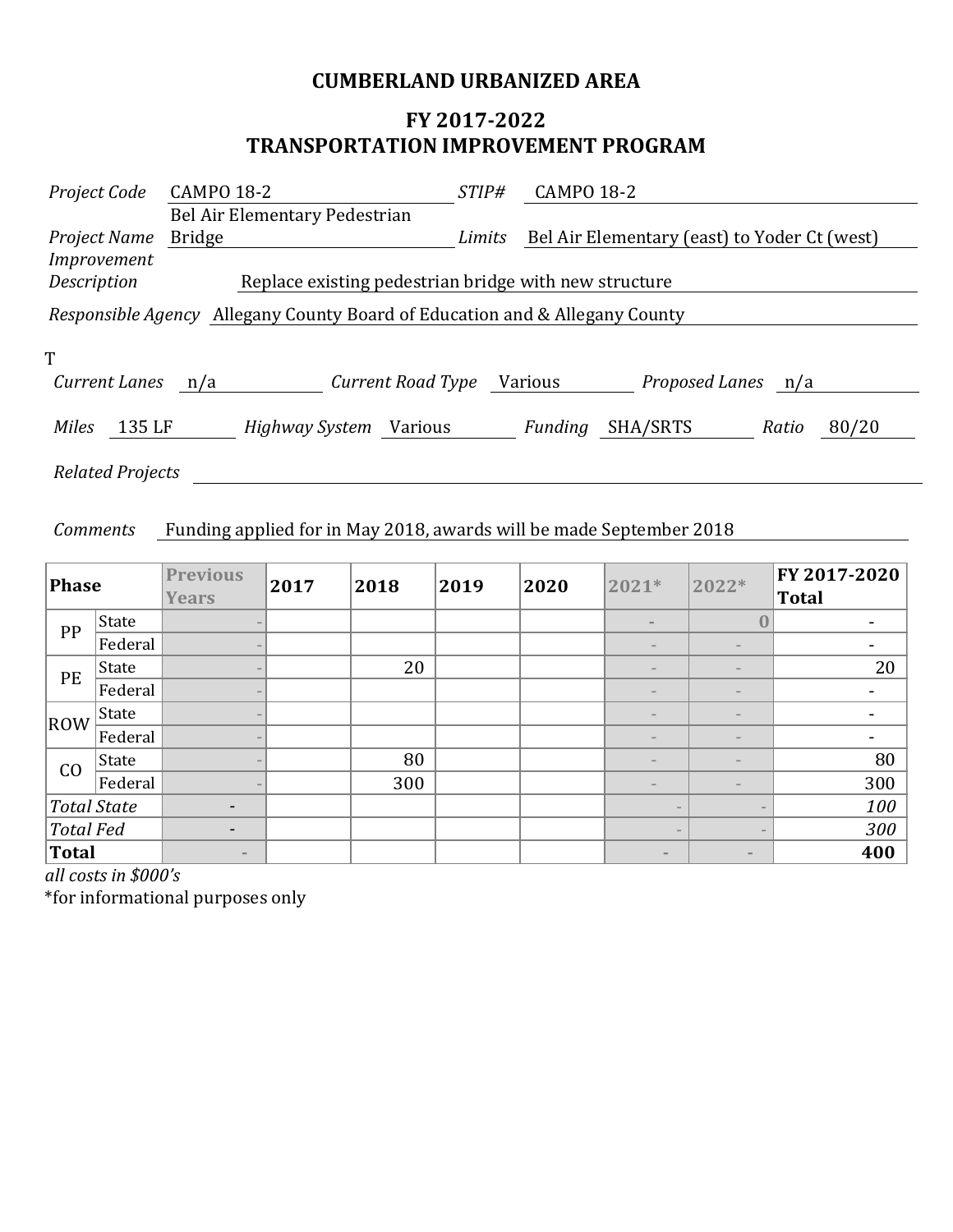## **CUMBERLAND URBANIZED AREA**

## **FY 2017-2022 TRANSPORTATION IMPROVEMENT PROGRAM**

| Project Code            | <b>CAMPO 18-2</b>                                                                  | <i>STIP#</i> | <b>CAMPO 18-2</b> |                                              |       |       |
|-------------------------|------------------------------------------------------------------------------------|--------------|-------------------|----------------------------------------------|-------|-------|
|                         | Bel Air Elementary Pedestrian                                                      |              |                   |                                              |       |       |
| Project Name            | <b>Bridge</b>                                                                      | Limits       |                   | Bel Air Elementary (east) to Yoder Ct (west) |       |       |
| Improvement             |                                                                                    |              |                   |                                              |       |       |
| Description             | Replace existing pedestrian bridge with new structure                              |              |                   |                                              |       |       |
|                         | <i>Responsible Agency</i> Allegany County Board of Education and & Allegany County |              |                   |                                              |       |       |
|                         |                                                                                    |              |                   |                                              |       |       |
| T                       |                                                                                    |              |                   |                                              |       |       |
| <b>Current Lanes</b>    | Current Road Type<br>n/a                                                           |              | Various           | Proposed Lanes n/a                           |       |       |
| <b>Miles</b><br>135 LF  | <i>Highway System</i> Various                                                      |              | Funding           | SHA/SRTS                                     | Ratio | 80/20 |
| <b>Related Projects</b> |                                                                                    |              |                   |                                              |       |       |

#### *Comments* Funding applied for in May 2018, awards will be made September 2018

| Phase            |              | <b>Previous</b><br><b>Years</b> | 2017 | 2018 | 2019 | 2020 | 2021*                    | 2022*             | FY 2017-2020<br><b>Total</b> |
|------------------|--------------|---------------------------------|------|------|------|------|--------------------------|-------------------|------------------------------|
| PP               | <b>State</b> |                                 |      |      |      |      | $\equiv$                 | $\pmb{0}$         |                              |
|                  | Federal      |                                 |      |      |      |      |                          |                   |                              |
| PE               | State        |                                 |      | 20   |      |      |                          |                   | 20                           |
|                  | Federal      |                                 |      |      |      |      | $\overline{\phantom{a}}$ |                   |                              |
| ROW              | State        |                                 |      |      |      |      |                          |                   |                              |
|                  | Federal      |                                 |      |      |      |      |                          |                   | $\overline{\phantom{0}}$     |
| CO               | State        |                                 |      | 80   |      |      |                          |                   | 80                           |
|                  | Federal      |                                 |      | 300  |      |      |                          |                   | 300                          |
| Total State      |              | $\overline{\phantom{a}}$        |      |      |      |      |                          |                   | 100                          |
| <b>Total Fed</b> |              | $\qquad \qquad$                 |      |      |      |      | $\overline{\phantom{m}}$ |                   | 300                          |
| Total            |              | $\sim$                          |      |      |      |      | $\qquad \qquad =$        | $\qquad \qquad =$ | 400                          |

*all costs in \$000's*

\*for informational purposes only